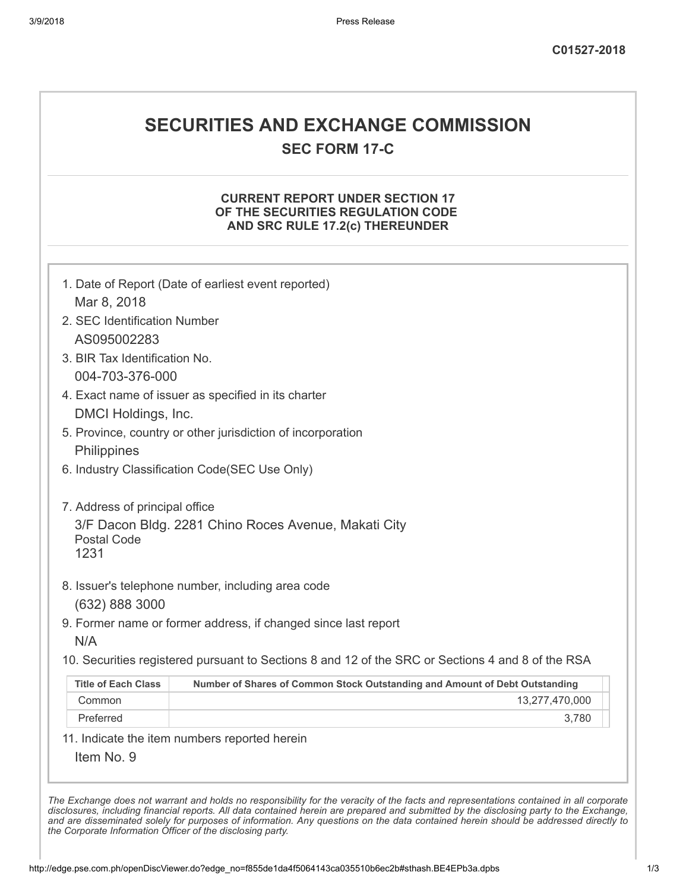# SECURITIES AND EXCHANGE COMMISSION

SEC FORM 17-C

## CURRENT REPORT UNDER SECTION 17 OF THE SECURITIES REGULATION CODE AND SRC RULE 17.2(c) THEREUNDER

|                               | 1. Date of Report (Date of earliest event reported)                                               |
|-------------------------------|---------------------------------------------------------------------------------------------------|
| Mar 8, 2018                   |                                                                                                   |
| 2. SEC Identification Number  |                                                                                                   |
| AS095002283                   |                                                                                                   |
| 3. BIR Tax Identification No. |                                                                                                   |
| 004-703-376-000               |                                                                                                   |
|                               | 4. Exact name of issuer as specified in its charter                                               |
| DMCI Holdings, Inc.           |                                                                                                   |
|                               | 5. Province, country or other jurisdiction of incorporation                                       |
| Philippines                   |                                                                                                   |
|                               | 6. Industry Classification Code(SEC Use Only)                                                     |
| <b>Postal Code</b><br>1231    | 3/F Dacon Bldg. 2281 Chino Roces Avenue, Makati City                                              |
|                               | 8. Issuer's telephone number, including area code                                                 |
| (632) 888 3000                |                                                                                                   |
|                               | 9. Former name or former address, if changed since last report                                    |
| N/A                           |                                                                                                   |
|                               | 10. Securities registered pursuant to Sections 8 and 12 of the SRC or Sections 4 and 8 of the RSA |
| <b>Title of Each Class</b>    | Number of Shares of Common Stock Outstanding and Amount of Debt Outstanding                       |
|                               | 13,277,470,000                                                                                    |
| Common                        |                                                                                                   |

The Exchange does not warrant and holds no responsibility for the veracity of the facts and representations contained in all corporate disclosures, including financial reports. All data contained herein are prepared and submitted by the disclosing party to the Exchange, and are disseminated solely for purposes of information. Any questions on the data contained herein should be addressed directly to the Corporate Information Officer of the disclosing party.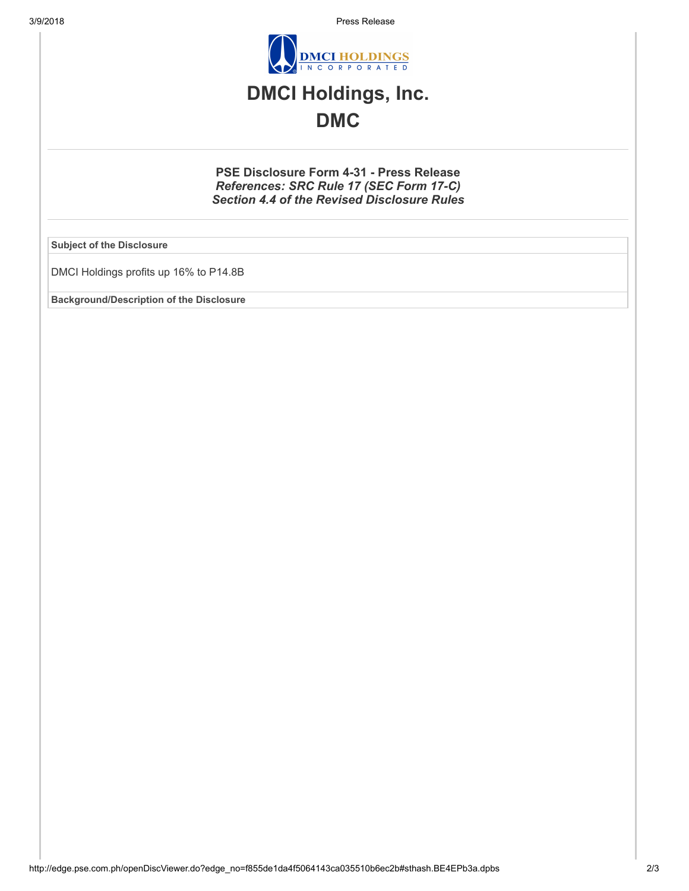3/9/2018 Press Release



## DMCI Holdings, Inc. DMC

### PSE Disclosure Form 4-31 - Press Release References: SRC Rule 17 (SEC Form 17-C) Section 4.4 of the Revised Disclosure Rules

Subject of the Disclosure

DMCI Holdings profits up 16% to P14.8B

Background/Description of the Disclosure